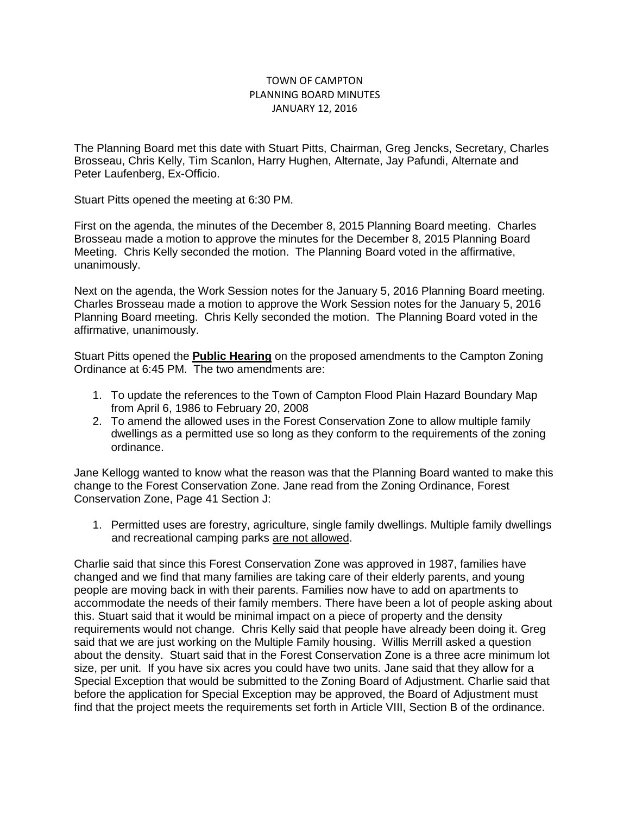## TOWN OF CAMPTON PLANNING BOARD MINUTES JANUARY 12, 2016

The Planning Board met this date with Stuart Pitts, Chairman, Greg Jencks, Secretary, Charles Brosseau, Chris Kelly, Tim Scanlon, Harry Hughen, Alternate, Jay Pafundi, Alternate and Peter Laufenberg, Ex-Officio.

Stuart Pitts opened the meeting at 6:30 PM.

First on the agenda, the minutes of the December 8, 2015 Planning Board meeting. Charles Brosseau made a motion to approve the minutes for the December 8, 2015 Planning Board Meeting. Chris Kelly seconded the motion. The Planning Board voted in the affirmative, unanimously.

Next on the agenda, the Work Session notes for the January 5, 2016 Planning Board meeting. Charles Brosseau made a motion to approve the Work Session notes for the January 5, 2016 Planning Board meeting. Chris Kelly seconded the motion. The Planning Board voted in the affirmative, unanimously.

Stuart Pitts opened the **Public Hearing** on the proposed amendments to the Campton Zoning Ordinance at 6:45 PM. The two amendments are:

- 1. To update the references to the Town of Campton Flood Plain Hazard Boundary Map from April 6, 1986 to February 20, 2008
- 2. To amend the allowed uses in the Forest Conservation Zone to allow multiple family dwellings as a permitted use so long as they conform to the requirements of the zoning ordinance.

Jane Kellogg wanted to know what the reason was that the Planning Board wanted to make this change to the Forest Conservation Zone. Jane read from the Zoning Ordinance, Forest Conservation Zone, Page 41 Section J:

1. Permitted uses are forestry, agriculture, single family dwellings. Multiple family dwellings and recreational camping parks are not allowed.

Charlie said that since this Forest Conservation Zone was approved in 1987, families have changed and we find that many families are taking care of their elderly parents, and young people are moving back in with their parents. Families now have to add on apartments to accommodate the needs of their family members. There have been a lot of people asking about this. Stuart said that it would be minimal impact on a piece of property and the density requirements would not change. Chris Kelly said that people have already been doing it. Greg said that we are just working on the Multiple Family housing. Willis Merrill asked a question about the density. Stuart said that in the Forest Conservation Zone is a three acre minimum lot size, per unit. If you have six acres you could have two units. Jane said that they allow for a Special Exception that would be submitted to the Zoning Board of Adjustment. Charlie said that before the application for Special Exception may be approved, the Board of Adjustment must find that the project meets the requirements set forth in Article VIII, Section B of the ordinance.